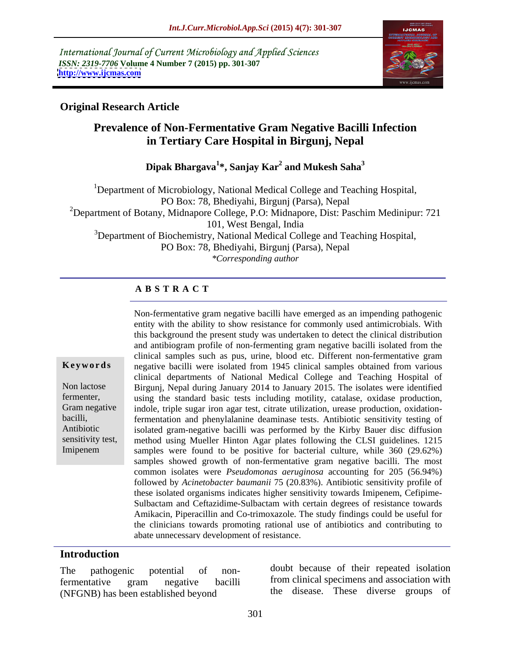International Journal of Current Microbiology and Applied Sciences *ISSN: 2319-7706* **Volume 4 Number 7 (2015) pp. 301-307 <http://www.ijcmas.com>**



### **Original Research Article**

# **Prevalence of Non-Fermentative Gram Negative Bacilli Infection in Tertiary Care Hospital in Birgunj, Nepal**

**Dipak Bhargava<sup>1</sup> \*, Sanjay Kar<sup>2</sup> and Mukesh Saha<sup>3</sup>**

1Department of Microbiology, National Medical College and Teaching Hospital, PO Box: 78, Bhediyahi, Birgunj (Parsa), Nepal <sup>2</sup>Department of Botany, Midnapore College, P.O: Midnapore, Dist: Paschim Medinipur: 721 101, West Bengal, India <sup>3</sup>Department of Biochemistry, National Medical College and Teaching Hospital, PO Box: 78, Bhediyahi, Birgunj (Parsa), Nepal

*\*Corresponding author*

## **A B S T R A C T**

Non-fermentative gram negative bacilli have emerged as an impending pathogenic entity with the ability to show resistance for commonly used antimicrobials. With this background the present study was undertaken to detect the clinical distribution and antibiogram profile of non-fermenting gram negative bacilli isolated from the clinical samples such as pus, urine, blood etc. Different non-fermentative gram **Keywords** negative bacilli were isolated from 1945 clinical samples obtained from various clinical departments of National Medical College and Teaching Hospital of Non lactose Birgunj, Nepal during January 2014 to January 2015. The isolates were identified fermenter, using the standard basic tests including motility, catalase, oxidase production, Gram negative indole, triple sugar iron agar test, citrate utilization, urease production, oxidationfermentation and phenylalanine deaminase tests. Antibiotic sensitivity testing of bacilli, isolated gram-negative bacilli was performed by the Kirby Bauer disc diffusion Antibiotic sensitivity test, method using Mueller Hinton Agar plates following the CLSI guidelines. 1215 samples were found to be positive for bacterial culture, while 360 (29.62%) samples showed growth of non-fermentative gram negative bacilli. The most common isolates were *Pseudomonas aeruginosa* accounting for 205 (56.94%) followed by *Acinetobacter baumanii* 75 (20.83%). Antibiotic sensitivity profile of these isolated organisms indicates higher sensitivity towards Imipenem, Cefipime- Sulbactam and Ceftazidime-Sulbactam with certain degrees of resistance towards Amikacin, Piperacillin and Co-trimoxazole. The study findings could be useful for the clinicians towards promoting rational use of antibiotics and contributing to abate unnecessary development of resistance.

#### **Introduction**

Imipenem

fermentative gram negative bacilli (NFGNB) has been established beyond

The pathogenic potential of non-doubt because of their repeated isolation from clinical specimens and association with the disease. These diverse groups of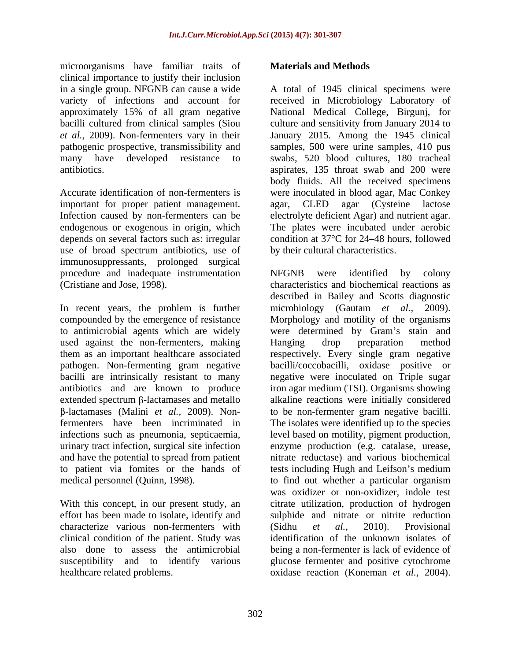microorganisms have familiar traits of **Materials and Methods** clinical importance to justify their inclusion in a single group. NFGNB can cause a wide

important for proper patient management. agar, CLED agar (Cysteine lactose Infection caused by non-fermenters can be use of broad spectrum antibiotics, use of immunosuppressants, prolonged surgical procedure and inadequate instrumentation NFGNB were identified by colony

used against the non-fermenters, making Hanging drop preparation method bacilli are intrinsically resistant to many and have the potential to spread from patient to patient via fomites or the hands of

With this concept, in our present study, an characterize various non-fermenters with (Sidhu et al., 2010). Provisional clinical condition of the patient. Study was healthcare related problems. oxidase reaction (Koneman *et al.,* 2004).

#### **Materials and Methods**

variety of infections and account for received in Microbiology Laboratory of approximately 15% of all gram negative National Medical College, Birgunj, for bacilli cultured from clinical samples (Siou culture and sensitivity from January 2014 to et al., 2009). Non-fermenters vary in their January 2015. Among the 1945 clinical pathogenic prospective, transmissibility and samples, 500 were urine samples, 410 pus many have developed resistance to swabs, 520 blood cultures, 180 tracheal antibiotics. aspirates, 135 throat swab and 200 were Accurate identification of non-fermenters is were inoculated in blood agar, Mac Conkey endogenous or exogenous in origin, which The plates were incubated under aerobic depends on several factors such as: irregular condition at 37°C for 24 48 hours, followed A total of 1945 clinical specimens were body fluids. All the received specimens agar, CLED agar (Cysteine lactose electrolyte deficient Agar) and nutrient agar. by their cultural characteristics.

(Cristiane and Jose, 1998). characteristics and biochemical reactions as In recent years, the problem is further microbiology (Gautam *et al.,* 2009). compounded by the emergence of resistance Morphology and motility of the organisms to antimicrobial agents which are widely were determined by Gram's stain and them as an important healthcare associated respectively. Every single gram negative pathogen. Non-fermenting gram negative bacilli/coccobacilli, oxidase positive or antibiotics and are known to produce iron agar medium (TSI). Organisms showing extended spectrum β-lactamases and metallo alkaline reactions were initially considered -lactamases (Malini *et al.,* 2009). Non-to be non-fermenter gram negative bacilli. fermenters have been incriminated in The isolates were identified up to the species infections such as pneumonia, septicaemia, level based on motility, pigment production, urinary tract infection, surgical site infection enzyme production (e.g. catalase, urease, medical personnel (Quinn, 1998). to find out whether a particular organism effort has been made to isolate, identify and sulphide and nitrate or nitrite reduction also done to assess the antimicrobial being a non-fermenter is lack of evidence of susceptibility and to identify various glucose fermenter and positive cytochrome NFGNB were identified by colony described in Bailey and Scotts diagnostic Hanging drop preparation method negative were inoculated on Triple sugar nitrate reductase) and various biochemical tests including Hugh and Leifson's medium was oxidizer or non-oxidizer, indole test citrate utilization, production of hydrogen (Sidhu *et al.,* 2010). Provisional identification of the unknown isolates of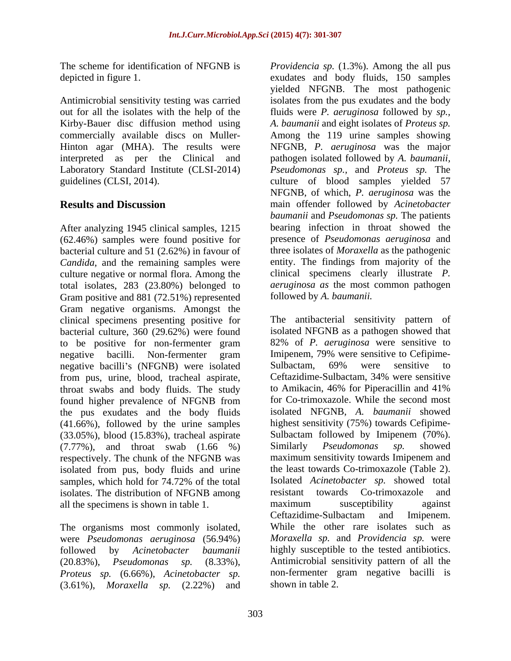Antimicrobial sensitivity testing was carried Kirby-Bauer disc diffusion method using interpreted as per the Clinical and

After analyzing 1945 clinical samples, 1215 (62.46%) samples were found positive for bacterial culture and 51 (2.62%) in favour of *Candida*, and the remaining samples were culture negative or normal flora. Among the total isolates, 283 (23.80%) belonged to Gram positive and 881 (72.51%) represented Gram negative organisms. Amongst the clinical specimens presenting positive for bacterial culture, 360 (29.62%) were found to be positive for non-fermenter gram negative bacilli's (NFGNB) were isolated<br>
from pus urine blood tracheal aspirate<br>
Ceftazidime-Sulbactam, 34% were sensitive from pus, urine, blood, tracheal aspirate, throat swabs and body fluids. The study found higher prevalence of NFGNB from the pus exudates and the body fluids (41.66%), followed by the urine samples (33.05%), blood (15.83%), tracheal aspirate (7.77%), and throat swab (1.66 %) respectively. The chunk of the NFGNB was isolated from pus, body fluids and urine isolates. The distribution of NFGNB among resistant towards Co-trimoxazole and

The organisms most commonly isolated, were *Pseudomonas aeruginosa* (56.94%) *Proteus sp.* (6.66%), *Acinetobacter sp.* (3.61%), *Moraxella sp.* (2.22%) and

The scheme for identification of NFGNB is *Providencia sp.* (1.3%). Among the all pus depicted in figure 1. exudates and body fluids, 150 samples out for all the isolates with the help of the fluids were *P. aeruginosa* followed by *sp.,*  commercially available discs on Muller- Among the 119 urine samples showing Hinton agar (MHA). The results were NFGNB, *P. aeruginosa* was the major Laboratory Standard Institute (CLSI-2014) *Pseudomonas sp.,* and *Proteus sp.* The guidelines (CLSI, 2014). Culture of blood samples yielded 57 **Results and Discussion** main offender followed by *Acinetobacter*  yielded NFGNB. The most pathogenic isolates from the pus exudates and the body *A. baumanii* and eight isolates of *Proteus sp.* pathogen isolated followed by *A. baumanii,* NFGNB, of which, *P. aeruginosa* was the *baumanii* and *Pseudomonas sp.* The patients bearing infection in throat showed the presence of *Pseudomonas aeruginosa* and three isolates of *Moraxella* as the pathogenic entity. The findings from majority of the clinical specimens clearly illustrate *P. aeruginosa as* the most common pathogen followed by *A. baumanii.*

negative bacilli. Non-fermenter gram Imipenem, 79% were sensitive to Cefipimesamples, which hold for 74.72% of the total Isolated *Acinetobacter sp.* showed total all the specimens is shown in table 1. The maximum susceptibility against certazidime-Sulbactam and Imipenem. followed by *Acinetobacter baumanii* highly susceptible to the tested antibiotics. (20.83%), *Pseudomonas sp.* (8.33%), Antimicrobial sensitivity pattern of all the The antibacterial sensitivity pattern of isolated NFGNB as a pathogen showed that 82% of *P. aeruginosa* were sensitive to Imipenem, 79% were sensitive to Cefipime- Sulbactam, 69% were sensitive to Ceftazidime-Sulbactam, 34% were sensitive to Amikacin, 46% for Piperacillin and 41% for Co-trimoxazole. While the second most isolated NFGNB, *A. baumanii* showed highest sensitivity (75%) towards Cefipime- Sulbactam followed by Imipenem (70%). Similarly *Pseudomonas sp.* showed maximum sensitivity towards Imipenem and the least towards Co-trimoxazole (Table 2). Isolated *Acinetobacter sp.* showed total resistant towards Co-trimoxazole maximum susceptibility against Ceftazidime-Sulbactam and Imipenem. While the other rare isolates such as *Moraxella sp.* and *Providencia sp.* were non-fermenter gram negative bacilli is shown in table 2.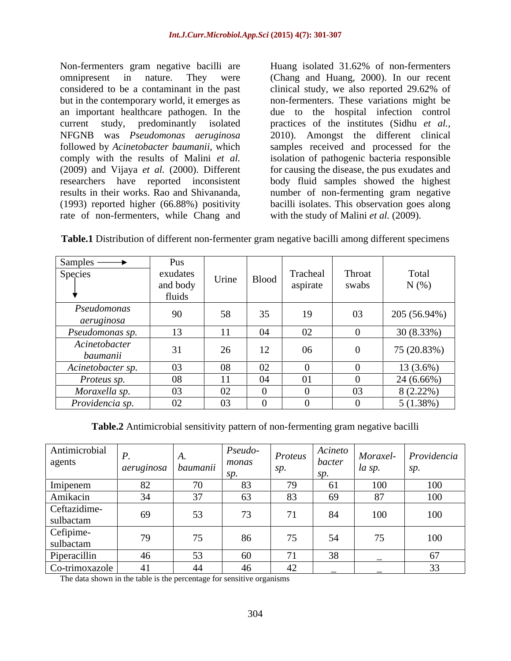Non-fermenters gram negative bacilli are rate of non-fermenters, while Chang and

omnipresent in nature. They were (Chang and Huang, 2000). In our recent considered to be a contaminant in the past clinical study, we also reported 29.62% of but in the contemporary world, it emerges as non-fermenters. These variations might be an important healthcare pathogen. In the due to the hospital infection control current study, predominantly isolated practices of the institutes (Sidhu *et al.,* NFGNB was *Pseudomonas aeruginosa* 2010). Amongst the different clinical followed by *Acinetobacter baumanii*, which samples received and processed for the comply with the results of Malini *et al.* isolation of pathogenic bacteria responsible (2009) and Vijaya *et al.* (2000). Different for causing the disease, the pus exudates and researchers have reported inconsistent body fluid samples showed the highest results in their works. Rao and Shivananda, a number of non-fermenting gram negative (1993) reported higher (66.88%) positivity bacilli isolates. This observation goes along Huang isolated 31.62% of non-fermenters with the study of Malini *et al.* (2009).

| <b>Table.1</b> Distribution of different non-fermenter gram negative bacilli among different specimens |  |  |
|--------------------------------------------------------------------------------------------------------|--|--|
|                                                                                                        |  |  |

| Samples —                 | Pus      |       |       |              |        |              |
|---------------------------|----------|-------|-------|--------------|--------|--------------|
| Species                   | exudates | Urine | Blood | Tracheal     | Throat | Total        |
|                           | and body |       |       | aspirate     | swabs  | $N(\%)$      |
|                           | fluids   |       |       |              |        |              |
| Pseudomonas<br>aeruginosa | 90       | 58    | 35    | 19           | 03     | 205 (56.94%) |
| Pseudomonas sp.           | 13       | $-4$  | 04    | 02           |        | 30(8.33%)    |
| Acinetobacter<br>baumanii | 31       | 26    | 12    | 06           | -0     | 75 (20.83%)  |
| Acinetobacter sp.         | 03       | 08    | 02    | $\theta$     |        | $13(3.6\%)$  |
| Proteus sp.               | 08       | 4.4   | 04    | 01           | - 0    | 24 (6.66%)   |
| Moraxella sp.             | 03       | 02    |       | $\mathbf{U}$ | 03     | $8(2.22\%)$  |
| Providencia sp.           | 02       | 03    |       | $\mathbf{U}$ |        | $5(1.38\%)$  |

**Table.2** Antimicrobial sensitivity pattern of non-fermenting gram negative bacilli

| Antimicrobial<br>agents   | aeruginosa   baumanii |                | $Pseudo-$<br>monas | Proteus<br>SD | Acineto<br>bacter | la sp.         | Moraxel- Providencia<br>SD. |
|---------------------------|-----------------------|----------------|--------------------|---------------|-------------------|----------------|-----------------------------|
| Imipenem                  | 82                    |                | $\delta$           | 79            | -61               | 100            | 100                         |
| Amikacin                  |                       | 37             | UJ.                | 83            | 69                | 87             | 100                         |
| Ceftazidime-<br>sulbactam | 69                    | 53             | ر ،                | 71            |                   | 100            | 100                         |
| Cefipime-<br>sulbactam    | 79                    | $\overline{a}$ | 86                 | 75            | 51                | $\overline{a}$ | 100                         |
| Piperacillin              | 46                    | 53             | 60                 | $7^\circ$     | 38                |                | 0/                          |
| Co-trimoxazole            |                       | 44             | 40.                | 42            |                   |                | $\sim$<br>55                |

The data shown in the table is the percentage for sensitive organisms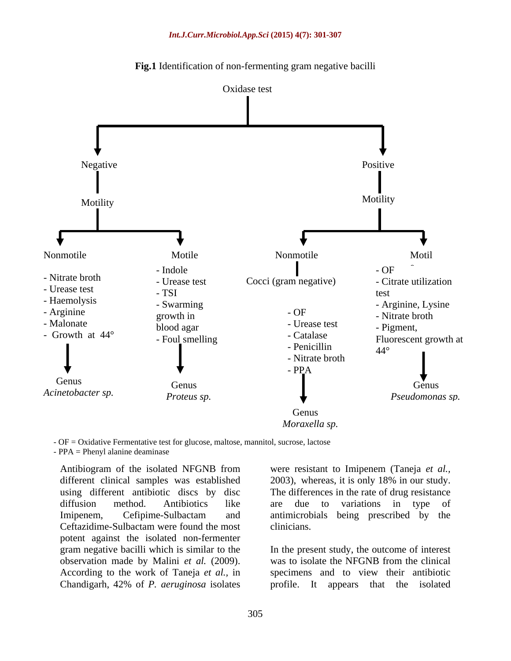



- OF = Oxidative Fermentative test for glucose, maltose, mannitol, sucrose, lactose - PPA = Phenyl alanine deaminase

Ceftazidime-Sulbactam were found the most potent against the isolated non-fermenter According to the work of Taneja *et al.,* in

Antibiogram of the isolated NFGNB from were resistant to Imipenem (Taneja *et al.,* different clinical samples was established 2003), whereas, it is only 18% in our study. using different antibiotic discs by disc The differences in the rate of drug resistance diffusion method. Antibiotics like are due to variations in type of Imipenem, Cefipime-Sulbactam and antimicrobials being prescribed by the are due to variations in type of clinicians.

gram negative bacilli which is similar to the In the present study, the outcome of interest observation made by Malini *et al.* (2009). was to isolate the NFGNB from the clinical Chandigarh, 42% of *P. aeruginosa* isolates profile. It appears that the isolated specimens and to view their antibiotic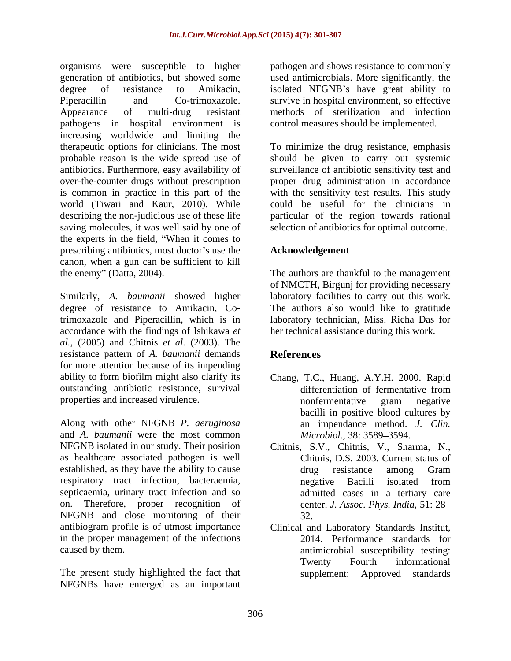organisms were susceptible to higher generation of antibiotics, but showed some used antimicrobials. More significantly, the degree of resistance to Amikacin, isolated NFGNB's have great ability to Piperacillin and Co-trimoxazole. survive in hospital environment, so effective Appearance of multi-drug resistant methods of sterilization and infection pathogens in hospital environment is increasing worldwide and limiting the therapeutic options for clinicians. The most To minimize the drug resistance, emphasis probable reason is the wide spread use of should be given to carry out systemic antibiotics. Furthermore, easy availability of over-the-counter drugs without prescription proper drug administration in accordance is common in practice in this part of the with the sensitivity test results. This study world (Tiwari and Kaur, 2010). While could be useful for the clinicians in describing the non-judicious use of these life particular of the region towards rational saving molecules, it was well said by one of the experts in the field, When it comes to prescribing antibiotics, most doctor's use the canon, when a gun can be sufficient to kill<br>the enemy" (Datta, 2004). the enemy" (Datta, 2004). The authors are thankful to the management

Similarly, *A. baumanii* showed higher laboratory facilities to carry out this work. degree of resistance to Amikacin, Co-The authors also would like to gratitude trimoxazole and Piperacillin, which is in accordance with the findings of Ishikawa *et al.,* (2005) and Chitnis *et al.* (2003). The resistance pattern of *A. baumanii* demands for more attention because of its impending ability to form biofilm might also clarify its Chang, T.C., Huang, A.Y.H. 2000. Rapid outstanding antibiotic resistance, survival properties and increased virulence. The interval of the intervals of the properties and increased virulence.

Along with other NFGNB *P. aeruginosa* and *A. baumanii* were the most common NFGNB isolated in our study. Their position Chitnis, S.V., Chitnis, V., Sharma, N., as healthcare associated pathogen is well established, as they have the ability to cause of the series of the series of the Gram respiratory tract infection, bacteraemia, septicaemia, urinary tract infection and so on. Therefore, proper recognition of NFGNB and close monitoring of their antibiogram profile is of utmost importance Clinical and Laboratory Standards Institut, in the proper management of the infections

The present study highlighted the fact that NFGNBs have emerged as an important

pathogen and shows resistance to commonly control measures should be implemented.

surveillance of antibiotic sensitivity test and selection of antibiotics for optimal outcome.

## **Acknowledgement**

of NMCTH, Birgunj for providing necessary laboratory technician, Miss. Richa Das for her technical assistance during this work.

# **References**

- differentiation of fermentative from nonfermentative gram negative bacilli in positive blood cultures by an impendance method. *J. Clin. Microbiol.,* 38: 3589–3594.
- Chitnis, D.S. 2003. Current status of drug resistance among Gram negative Bacilli isolated from admitted cases in a tertiary care center. *J. Assoc. Phys. India*, 51: 28 32.
- caused by them. antimicrobial susceptibility testing: 2014. Performance standards for Twenty Fourth informational supplement: Approved standards